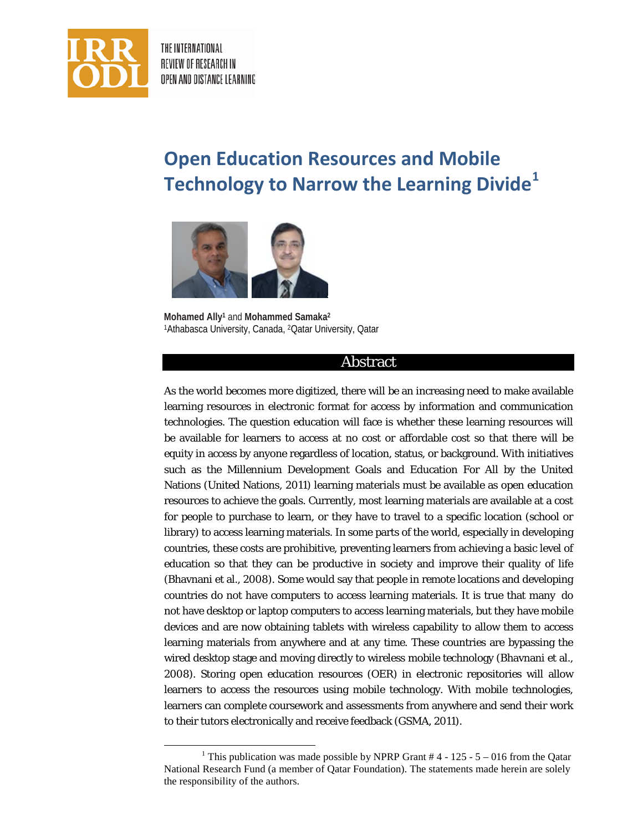

THE INTERNATIONAL **REVIEW OF RESEARCH IN** OPEN AND DISTANCE LEARNING

# **Open Education Resources and Mobile Technology to Narrow the Learning Divide[1](#page-0-0)**



**Mohamed Ally1** and **Mohammed Samaka2** 1Athabasca University, Canada, 2Qatar University, Qatar

## Abstract

As the world becomes more digitized, there will be an increasing need to make available learning resources in electronic format for access by information and communication technologies. The question education will face is whether these learning resources will be available for learners to access at no cost or affordable cost so that there will be equity in access by anyone regardless of location, status, or background. With initiatives such as the Millennium Development Goals and Education For All by the United Nations (United Nations, 2011) learning materials must be available as open education resources to achieve the goals. Currently, most learning materials are available at a cost for people to purchase to learn, or they have to travel to a specific location (school or library) to access learning materials. In some parts of the world, especially in developing countries, these costs are prohibitive, preventing learners from achieving a basic level of education so that they can be productive in society and improve their quality of life (Bhavnani et al., 2008). Some would say that people in remote locations and developing countries do not have computers to access learning materials. It is true that many do not have desktop or laptop computers to access learning materials, but they have mobile devices and are now obtaining tablets with wireless capability to allow them to access learning materials from anywhere and at any time. These countries are bypassing the wired desktop stage and moving directly to wireless mobile technology (Bhavnani et al., 2008). Storing open education resources (OER) in electronic repositories will allow learners to access the resources using mobile technology. With mobile technologies, learners can complete coursework and assessments from anywhere and send their work to their tutors electronically and receive feedback (GSMA, 2011).

<span id="page-0-0"></span><sup>&</sup>lt;sup>1</sup> This publication was made possible by NPRP Grant  $#$  4 - 125 - 5 – 016 from the Qatar National Research Fund (a member of Qatar Foundation). The statements made herein are solely the responsibility of the authors.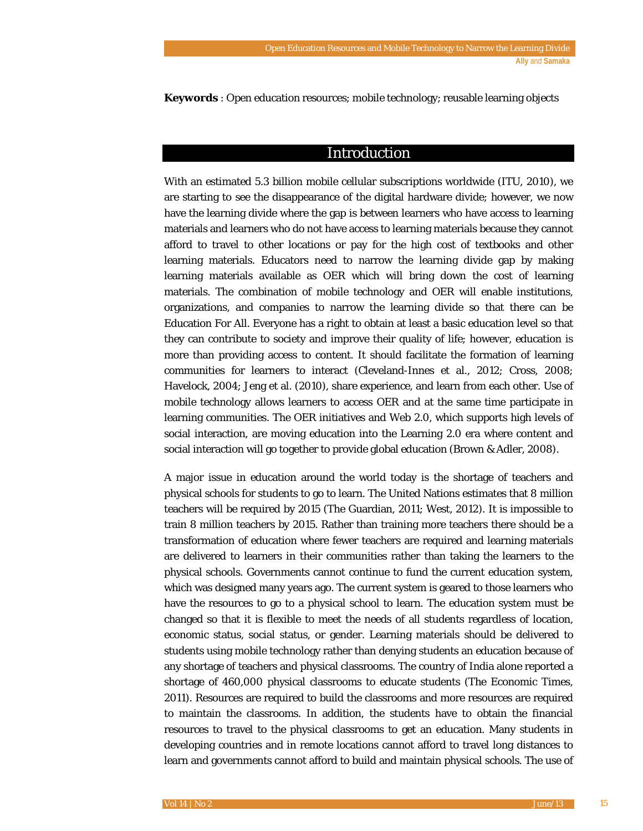**Keywords** : Open education resources; mobile technology; reusable learning objects

#### Introduction

With an estimated 5.3 billion mobile cellular subscriptions worldwide (ITU, 2010), we are starting to see the disappearance of the digital hardware divide; however, we now have the learning divide where the gap is between learners who have access to learning materials and learners who do not have access to learning materials because they cannot afford to travel to other locations or pay for the high cost of textbooks and other learning materials. Educators need to narrow the learning divide gap by making learning materials available as OER which will bring down the cost of learning materials. The combination of mobile technology and OER will enable institutions, organizations, and companies to narrow the learning divide so that there can be Education For All. Everyone has a right to obtain at least a basic education level so that they can contribute to society and improve their quality of life; however, education is more than providing access to content. It should facilitate the formation of learning communities for learners to interact (Cleveland-Innes et al., 2012; Cross, 2008; Havelock, 2004; Jeng et al. (2010), share experience, and learn from each other. Use of mobile technology allows learners to access OER and at the same time participate in learning communities. The OER initiatives and Web 2.0, which supports high levels of social interaction, are moving education into the Learning 2.0 era where content and social interaction will go together to provide global education (Brown & Adler, 2008).

A major issue in education around the world today is the shortage of teachers and physical schools for students to go to learn. The United Nations estimates that 8 million teachers will be required by 2015 (The Guardian, 2011; West, 2012). It is impossible to train 8 million teachers by 2015. Rather than training more teachers there should be a transformation of education where fewer teachers are required and learning materials are delivered to learners in their communities rather than taking the learners to the physical schools. Governments cannot continue to fund the current education system, which was designed many years ago. The current system is geared to those learners who have the resources to go to a physical school to learn. The education system must be changed so that it is flexible to meet the needs of all students regardless of location, economic status, social status, or gender. Learning materials should be delivered to students using mobile technology rather than denying students an education because of any shortage of teachers and physical classrooms. The country of India alone reported a shortage of 460,000 physical classrooms to educate students (The Economic Times, 2011). Resources are required to build the classrooms and more resources are required to maintain the classrooms. In addition, the students have to obtain the financial resources to travel to the physical classrooms to get an education. Many students in developing countries and in remote locations cannot afford to travel long distances to learn and governments cannot afford to build and maintain physical schools. The use of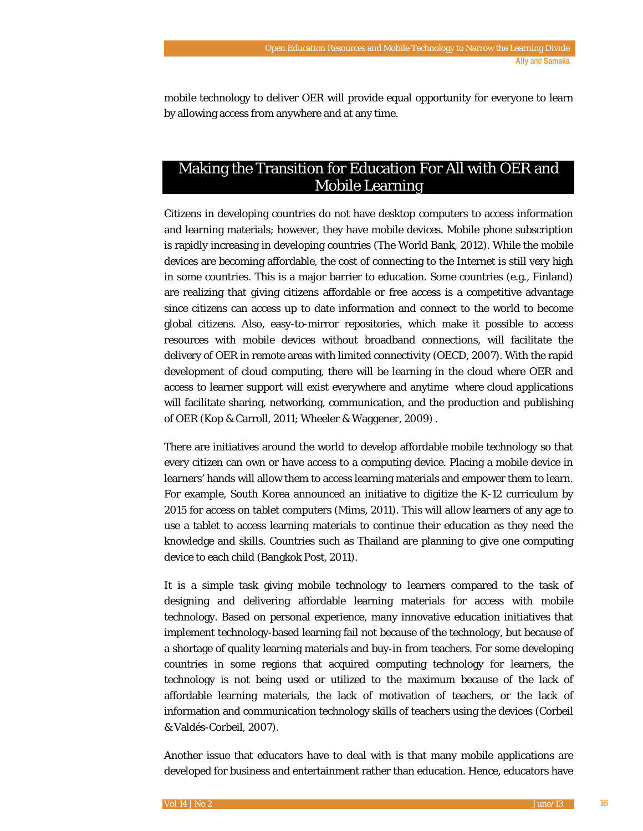mobile technology to deliver OER will provide equal opportunity for everyone to learn by allowing access from anywhere and at any time.

# Making the Transition for Education For All with OER and Mobile Learning

Citizens in developing countries do not have desktop computers to access information and learning materials; however, they have mobile devices. Mobile phone subscription is rapidly increasing in developing countries (The World Bank, 2012). While the mobile devices are becoming affordable, the cost of connecting to the Internet is still very high in some countries. This is a major barrier to education. Some countries (e.g., Finland) are realizing that giving citizens affordable or free access is a competitive advantage since citizens can access up to date information and connect to the world to become global citizens. Also, easy-to-mirror repositories, which make it possible to access resources with mobile devices without broadband connections, will facilitate the delivery of OER in remote areas with limited connectivity (OECD, 2007). With the rapid development of cloud computing, there will be learning in the cloud where OER and access to learner support will exist everywhere and anytime where cloud applications will facilitate sharing, networking, communication, and the production and publishing of OER (Kop & Carroll, 2011; Wheeler & Waggener, 2009) .

There are initiatives around the world to develop affordable mobile technology so that every citizen can own or have access to a computing device. Placing a mobile device in learners' hands will allow them to access learning materials and empower them to learn. For example, South Korea announced an initiative to digitize the K-12 curriculum by 2015 for access on tablet computers (Mims, 2011). This will allow learners of any age to use a tablet to access learning materials to continue their education as they need the knowledge and skills. Countries such as Thailand are planning to give one computing device to each child (Bangkok Post, 2011).

It is a simple task giving mobile technology to learners compared to the task of designing and delivering affordable learning materials for access with mobile technology. Based on personal experience, many innovative education initiatives that implement technology-based learning fail not because of the technology, but because of a shortage of quality learning materials and buy-in from teachers. For some developing countries in some regions that acquired computing technology for learners, the technology is not being used or utilized to the maximum because of the lack of affordable learning materials, the lack of motivation of teachers, or the lack of information and communication technology skills of teachers using the devices (Corbeil & Valdés-Corbeil, 2007).

Another issue that educators have to deal with is that many mobile applications are developed for business and entertainment rather than education. Hence, educators have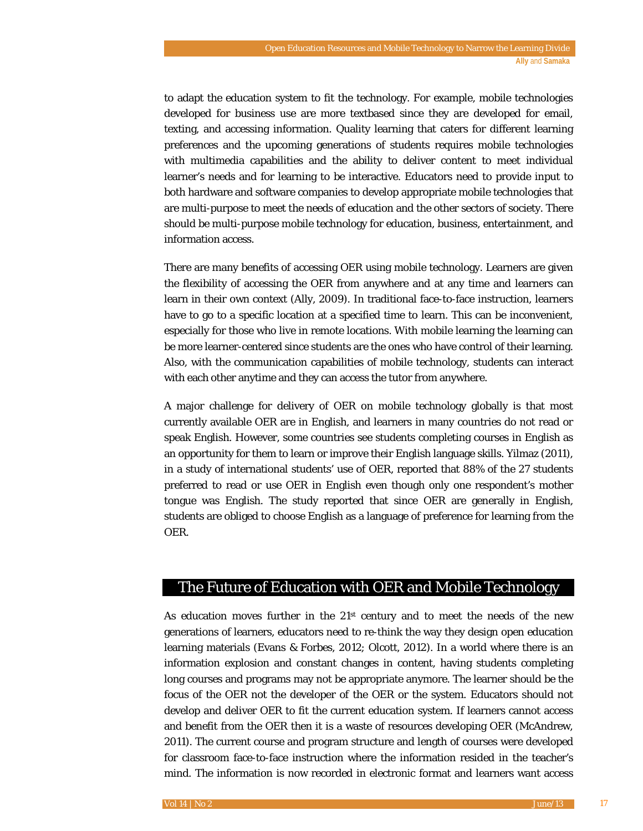to adapt the education system to fit the technology. For example, mobile technologies developed for business use are more textbased since they are developed for email, texting, and accessing information. Quality learning that caters for different learning preferences and the upcoming generations of students requires mobile technologies with multimedia capabilities and the ability to deliver content to meet individual learner's needs and for learning to be interactive. Educators need to provide input to both hardware and software companies to develop appropriate mobile technologies that are multi-purpose to meet the needs of education and the other sectors of society. There should be multi-purpose mobile technology for education, business, entertainment, and information access.

There are many benefits of accessing OER using mobile technology. Learners are given the flexibility of accessing the OER from anywhere and at any time and learners can learn in their own context (Ally, 2009). In traditional face-to-face instruction, learners have to go to a specific location at a specified time to learn. This can be inconvenient, especially for those who live in remote locations. With mobile learning the learning can be more learner-centered since students are the ones who have control of their learning. Also, with the communication capabilities of mobile technology, students can interact with each other anytime and they can access the tutor from anywhere.

A major challenge for delivery of OER on mobile technology globally is that most currently available OER are in English, and learners in many countries do not read or speak English. However, some countries see students completing courses in English as an opportunity for them to learn or improve their English language skills. Yilmaz (2011), in a study of international students' use of OER, reported that 88% of the 27 students preferred to read or use OER in English even though only one respondent's mother tongue was English. The study reported that since OER are generally in English, students are obliged to choose English as a language of preference for learning from the OER.

## The Future of Education with OER and Mobile Technology

As education moves further in the  $21<sup>st</sup>$  century and to meet the needs of the new generations of learners, educators need to re-think the way they design open education learning materials (Evans & Forbes, 2012; Olcott, 2012). In a world where there is an information explosion and constant changes in content, having students completing long courses and programs may not be appropriate anymore. The learner should be the focus of the OER not the developer of the OER or the system. Educators should not develop and deliver OER to fit the current education system. If learners cannot access and benefit from the OER then it is a waste of resources developing OER (McAndrew, 2011). The current course and program structure and length of courses were developed for classroom face-to-face instruction where the information resided in the teacher's mind. The information is now recorded in electronic format and learners want access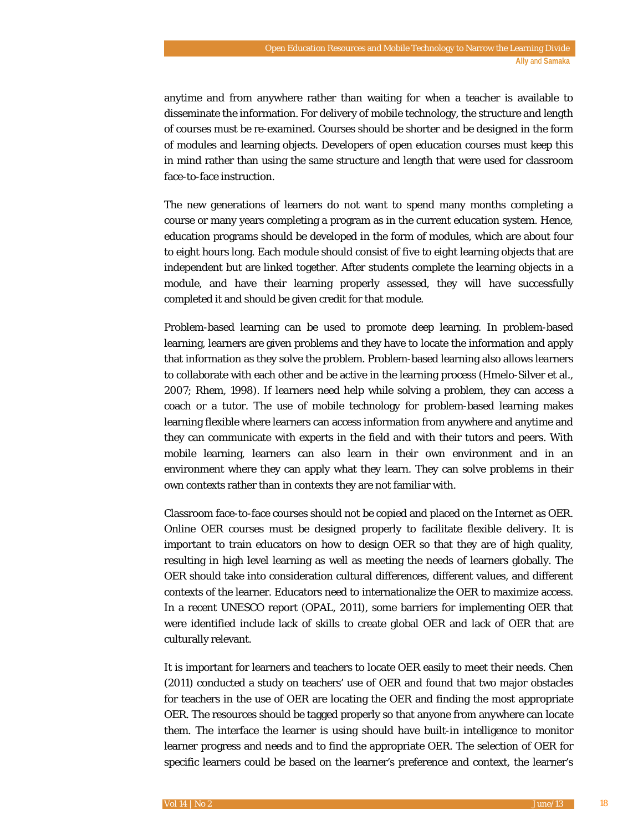anytime and from anywhere rather than waiting for when a teacher is available to disseminate the information. For delivery of mobile technology, the structure and length of courses must be re-examined. Courses should be shorter and be designed in the form of modules and learning objects. Developers of open education courses must keep this in mind rather than using the same structure and length that were used for classroom face-to-face instruction.

The new generations of learners do not want to spend many months completing a course or many years completing a program as in the current education system. Hence, education programs should be developed in the form of modules, which are about four to eight hours long. Each module should consist of five to eight learning objects that are independent but are linked together. After students complete the learning objects in a module, and have their learning properly assessed, they will have successfully completed it and should be given credit for that module.

Problem-based learning can be used to promote deep learning. In problem-based learning, learners are given problems and they have to locate the information and apply that information as they solve the problem. Problem-based learning also allows learners to collaborate with each other and be active in the learning process (Hmelo-Silver et al., 2007; Rhem, 1998). If learners need help while solving a problem, they can access a coach or a tutor. The use of mobile technology for problem-based learning makes learning flexible where learners can access information from anywhere and anytime and they can communicate with experts in the field and with their tutors and peers. With mobile learning, learners can also learn in their own environment and in an environment where they can apply what they learn. They can solve problems in their own contexts rather than in contexts they are not familiar with.

Classroom face-to-face courses should not be copied and placed on the Internet as OER. Online OER courses must be designed properly to facilitate flexible delivery. It is important to train educators on how to design OER so that they are of high quality, resulting in high level learning as well as meeting the needs of learners globally. The OER should take into consideration cultural differences, different values, and different contexts of the learner. Educators need to internationalize the OER to maximize access. In a recent UNESCO report (OPAL, 2011), some barriers for implementing OER that were identified include lack of skills to create global OER and lack of OER that are culturally relevant.

It is important for learners and teachers to locate OER easily to meet their needs. Chen (2011) conducted a study on teachers' use of OER and found that two major obstacles for teachers in the use of OER are locating the OER and finding the most appropriate OER. The resources should be tagged properly so that anyone from anywhere can locate them. The interface the learner is using should have built-in intelligence to monitor learner progress and needs and to find the appropriate OER. The selection of OER for specific learners could be based on the learner's preference and context, the learner's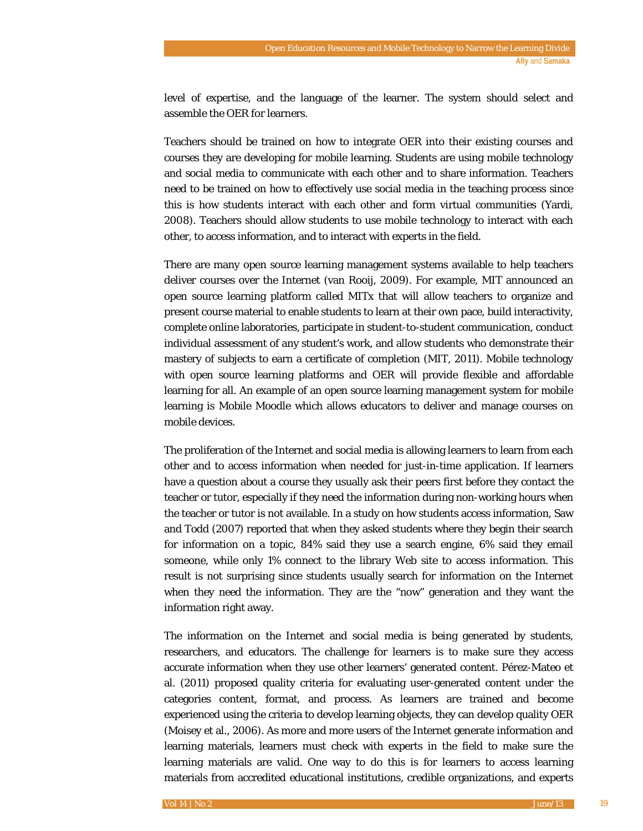level of expertise, and the language of the learner. The system should select and assemble the OER for learners.

Teachers should be trained on how to integrate OER into their existing courses and courses they are developing for mobile learning. Students are using mobile technology and social media to communicate with each other and to share information. Teachers need to be trained on how to effectively use social media in the teaching process since this is how students interact with each other and form virtual communities (Yardi, 2008). Teachers should allow students to use mobile technology to interact with each other, to access information, and to interact with experts in the field.

There are many open source learning management systems available to help teachers deliver courses over the Internet (van Rooij, 2009). For example, MIT announced an open source learning platform called MITx that will allow teachers to organize and present course material to enable students to learn at their own pace, build interactivity, complete online laboratories, participate in student-to-student communication, conduct individual assessment of any student's work, and allow students who demonstrate their mastery of subjects to earn a certificate of completion (MIT, 2011). Mobile technology with open source learning platforms and OER will provide flexible and affordable learning for all. An example of an open source learning management system for mobile learning is Mobile Moodle which allows educators to deliver and manage courses on mobile devices.

The proliferation of the Internet and social media is allowing learners to learn from each other and to access information when needed for just-in-time application. If learners have a question about a course they usually ask their peers first before they contact the teacher or tutor, especially if they need the information during non-working hours when the teacher or tutor is not available. In a study on how students access information, Saw and Todd (2007) reported that when they asked students where they begin their search for information on a topic, 84% said they use a search engine, 6% said they email someone, while only 1% connect to the library Web site to access information. This result is not surprising since students usually search for information on the Internet when they need the information. They are the "now" generation and they want the information right away.

The information on the Internet and social media is being generated by students, researchers, and educators. The challenge for learners is to make sure they access accurate information when they use other learners' generated content. Pérez-Mateo et al. (2011) proposed quality criteria for evaluating user-generated content under the categories content, format, and process. As learners are trained and become experienced using the criteria to develop learning objects, they can develop quality OER (Moisey et al., 2006). As more and more users of the Internet generate information and learning materials, learners must check with experts in the field to make sure the learning materials are valid. One way to do this is for learners to access learning materials from accredited educational institutions, credible organizations, and experts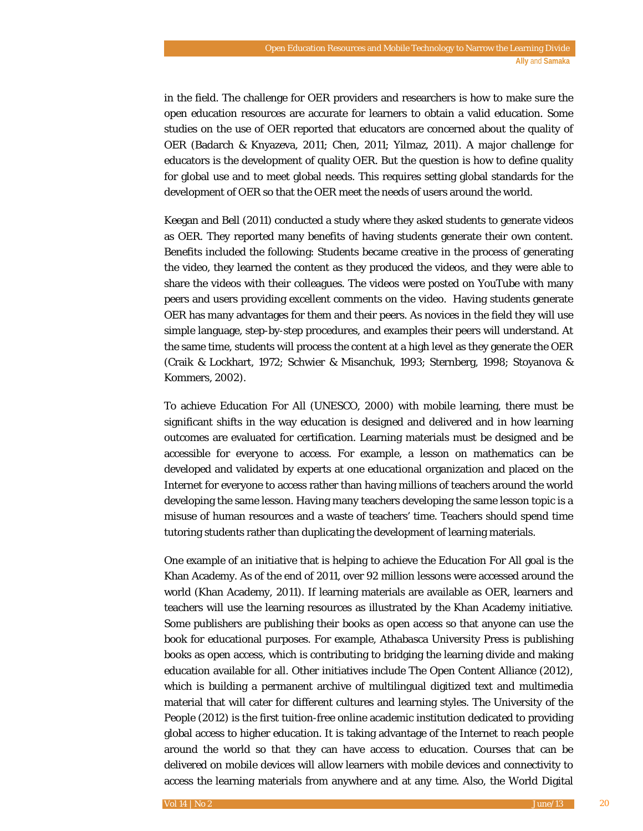in the field. The challenge for OER providers and researchers is how to make sure the open education resources are accurate for learners to obtain a valid education. Some studies on the use of OER reported that educators are concerned about the quality of OER (Badarch & Knyazeva, 2011; Chen, 2011; Yilmaz, 2011). A major challenge for educators is the development of quality OER. But the question is how to define quality for global use and to meet global needs. This requires setting global standards for the development of OER so that the OER meet the needs of users around the world.

Keegan and Bell (2011) conducted a study where they asked students to generate videos as OER. They reported many benefits of having students generate their own content. Benefits included the following: Students became creative in the process of generating the video, they learned the content as they produced the videos, and they were able to share the videos with their colleagues. The videos were posted on YouTube with many peers and users providing excellent comments on the video. Having students generate OER has many advantages for them and their peers. As novices in the field they will use simple language, step-by-step procedures, and examples their peers will understand. At the same time, students will process the content at a high level as they generate the OER (Craik & Lockhart, 1972; Schwier & Misanchuk, 1993; Sternberg, 1998; Stoyanova & Kommers, 2002).

To achieve Education For All (UNESCO, 2000) with mobile learning, there must be significant shifts in the way education is designed and delivered and in how learning outcomes are evaluated for certification. Learning materials must be designed and be accessible for everyone to access. For example, a lesson on mathematics can be developed and validated by experts at one educational organization and placed on the Internet for everyone to access rather than having millions of teachers around the world developing the same lesson. Having many teachers developing the same lesson topic is a misuse of human resources and a waste of teachers' time. Teachers should spend time tutoring students rather than duplicating the development of learning materials.

One example of an initiative that is helping to achieve the Education For All goal is the Khan Academy. As of the end of 2011, over 92 million lessons were accessed around the world (Khan Academy, 2011). If learning materials are available as OER, learners and teachers will use the learning resources as illustrated by the Khan Academy initiative. Some publishers are publishing their books as open access so that anyone can use the book for educational purposes. For example, Athabasca University Press is publishing books as open access, which is contributing to bridging the learning divide and making education available for all. Other initiatives include The Open Content Alliance (2012), which is building a permanent archive of multilingual digitized text and multimedia material that will cater for different cultures and learning styles. The University of the People (2012) is the first tuition-free online academic institution dedicated to providing global access to higher education. It is taking advantage of the Internet to reach people around the world so that they can have access to education. Courses that can be delivered on mobile devices will allow learners with mobile devices and connectivity to access the learning materials from anywhere and at any time. Also, the World Digital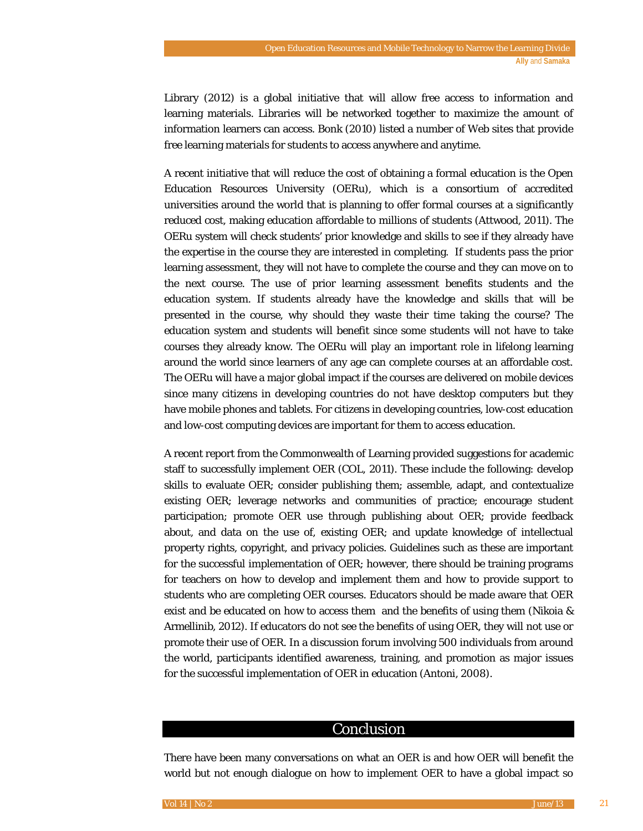Library (2012) is a global initiative that will allow free access to information and learning materials. Libraries will be networked together to maximize the amount of information learners can access. Bonk (2010) listed a number of Web sites that provide free learning materials for students to access anywhere and anytime.

A recent initiative that will reduce the cost of obtaining a formal education is the Open Education Resources University (OERu), which is a consortium of accredited universities around the world that is planning to offer formal courses at a significantly reduced cost, making education affordable to millions of students (Attwood, 2011). The OERu system will check students' prior knowledge and skills to see if they already have the expertise in the course they are interested in completing. If students pass the prior learning assessment, they will not have to complete the course and they can move on to the next course. The use of prior learning assessment benefits students and the education system. If students already have the knowledge and skills that will be presented in the course, why should they waste their time taking the course? The education system and students will benefit since some students will not have to take courses they already know. The OERu will play an important role in lifelong learning around the world since learners of any age can complete courses at an affordable cost. The OERu will have a major global impact if the courses are delivered on mobile devices since many citizens in developing countries do not have desktop computers but they have mobile phones and tablets. For citizens in developing countries, low-cost education and low-cost computing devices are important for them to access education.

A recent report from the Commonwealth of Learning provided suggestions for academic staff to successfully implement OER (COL, 2011). These include the following: develop skills to evaluate OER; consider publishing them; assemble, adapt, and contextualize existing OER; leverage networks and communities of practice; encourage student participation; promote OER use through publishing about OER; provide feedback about, and data on the use of, existing OER; and update knowledge of intellectual property rights, copyright, and privacy policies. Guidelines such as these are important for the successful implementation of OER; however, there should be training programs for teachers on how to develop and implement them and how to provide support to students who are completing OER courses. Educators should be made aware that OER exist and be educated on how to access them and the benefits of using them (Nikoia & Armellinib, 2012). If educators do not see the benefits of using OER, they will not use or promote their use of OER. In a discussion forum involving 500 individuals from around the world, participants identified awareness, training, and promotion as major issues for the successful implementation of OER in education (Antoni, 2008).

#### Conclusion

There have been many conversations on what an OER is and how OER will benefit the world but not enough dialogue on how to implement OER to have a global impact so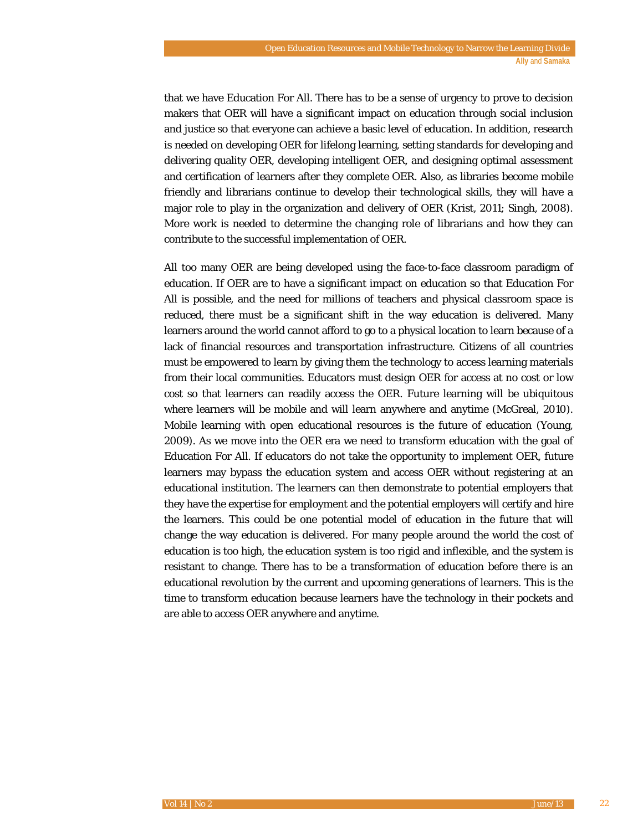that we have Education For All. There has to be a sense of urgency to prove to decision makers that OER will have a significant impact on education through social inclusion and justice so that everyone can achieve a basic level of education. In addition, research is needed on developing OER for lifelong learning, setting standards for developing and delivering quality OER, developing intelligent OER, and designing optimal assessment and certification of learners after they complete OER. Also, as libraries become mobile friendly and librarians continue to develop their technological skills, they will have a major role to play in the organization and delivery of OER (Krist, 2011; Singh, 2008). More work is needed to determine the changing role of librarians and how they can contribute to the successful implementation of OER.

All too many OER are being developed using the face-to-face classroom paradigm of education. If OER are to have a significant impact on education so that Education For All is possible, and the need for millions of teachers and physical classroom space is reduced, there must be a significant shift in the way education is delivered. Many learners around the world cannot afford to go to a physical location to learn because of a lack of financial resources and transportation infrastructure. Citizens of all countries must be empowered to learn by giving them the technology to access learning materials from their local communities. Educators must design OER for access at no cost or low cost so that learners can readily access the OER. Future learning will be ubiquitous where learners will be mobile and will learn anywhere and anytime (McGreal, 2010). Mobile learning with open educational resources is the future of education (Young, 2009). As we move into the OER era we need to transform education with the goal of Education For All. If educators do not take the opportunity to implement OER, future learners may bypass the education system and access OER without registering at an educational institution. The learners can then demonstrate to potential employers that they have the expertise for employment and the potential employers will certify and hire the learners. This could be one potential model of education in the future that will change the way education is delivered. For many people around the world the cost of education is too high, the education system is too rigid and inflexible, and the system is resistant to change. There has to be a transformation of education before there is an educational revolution by the current and upcoming generations of learners. This is the time to transform education because learners have the technology in their pockets and are able to access OER anywhere and anytime.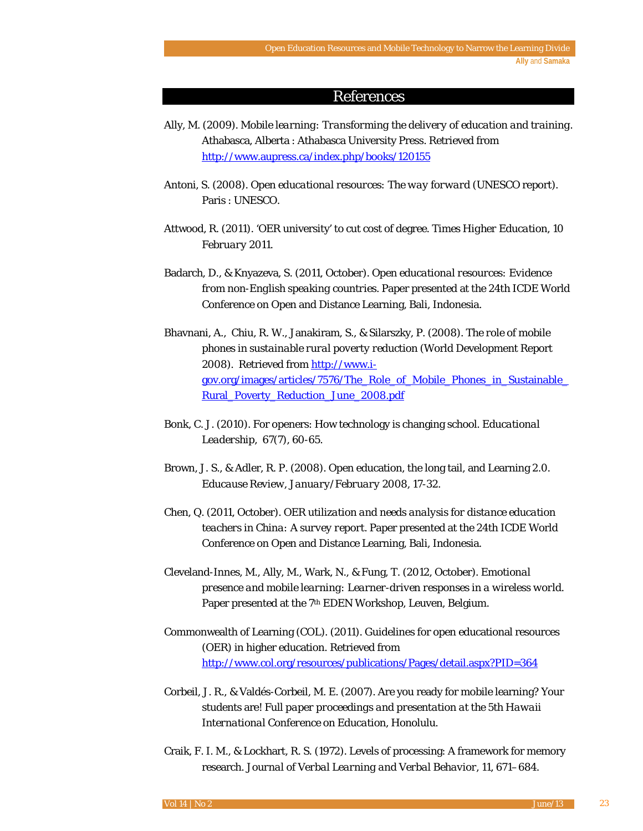#### References

- Ally, M. (2009). *Mobile learning: Transforming the delivery of education and training*. Athabasca, Alberta : Athabasca University Press. Retrieved from <http://www.aupress.ca/index.php/books/120155>
- Antoni, S. (2008). *Open educational resources: The way forward* (UNESCO report). Paris : UNESCO.
- Attwood, R. (2011). 'OER university' to cut cost of degree. *Times Higher Education*, *10 February 2011*.
- Badarch, D., & Knyazeva, S. (2011, October). *Open educational resources: Evidence from non-English speaking countries*. Paper presented at the 24th ICDE World Conference on Open and Distance Learning, Bali, Indonesia.
- Bhavnani, A., Chiu, R. W., Janakiram, S., & Silarszky, P. (2008). *The role of mobile phones in sustainable rural poverty reduction* (World Development Report 2008). Retrieved from [http://www.i](http://www.i-gov.org/images/articles/7576/The_Role_of_Mobile_Phones_in_Sustainable_Rural_Poverty_Reduction_June_2008.pdf)[gov.org/images/articles/7576/The\\_Role\\_of\\_Mobile\\_Phones\\_in\\_Sustainable\\_](http://www.i-gov.org/images/articles/7576/The_Role_of_Mobile_Phones_in_Sustainable_Rural_Poverty_Reduction_June_2008.pdf) [Rural\\_Poverty\\_Reduction\\_June\\_2008.pdf](http://www.i-gov.org/images/articles/7576/The_Role_of_Mobile_Phones_in_Sustainable_Rural_Poverty_Reduction_June_2008.pdf)
- Bonk, C. J. (2010). For openers: How technology is changing school. *Educational Leadership*, *67*(7), 60-65.
- Brown, J. S., & Adler, R. P. (2008). Open education, the long tail, and Learning 2.0. *Educause Review*, *January/February 2008*, 17-32.
- Chen, Q. (2011, October). *OER utilization and needs analysis for distance education teachers in China: A survey report*. Paper presented at the 24th ICDE World Conference on Open and Distance Learning, Bali, Indonesia.
- Cleveland-Innes, M., Ally, M., Wark, N., & Fung, T. (2012, October). *Emotional presence and mobile learning: Learner-driven responses in a wireless world*. Paper presented at the 7<sup>th</sup> EDEN Workshop, Leuven, Belgium.
- Commonwealth of Learning (COL). (2011). Guidelines for open educational resources (OER) in higher education. Retrieved from <http://www.col.org/resources/publications/Pages/detail.aspx?PID=364>
- Corbeil, J. R., & Valdés-Corbeil, M. E. (2007). Are you ready for mobile learning? Your students are! *Full paper proceedings and presentation at the 5th Hawaii International Conference on Education, Honolulu*.
- Craik, F. I. M., & Lockhart, R. S. (1972). Levels of processing: A framework for memory research. *Journal of Verbal Learning and Verbal Behavior, 11*, 671–684.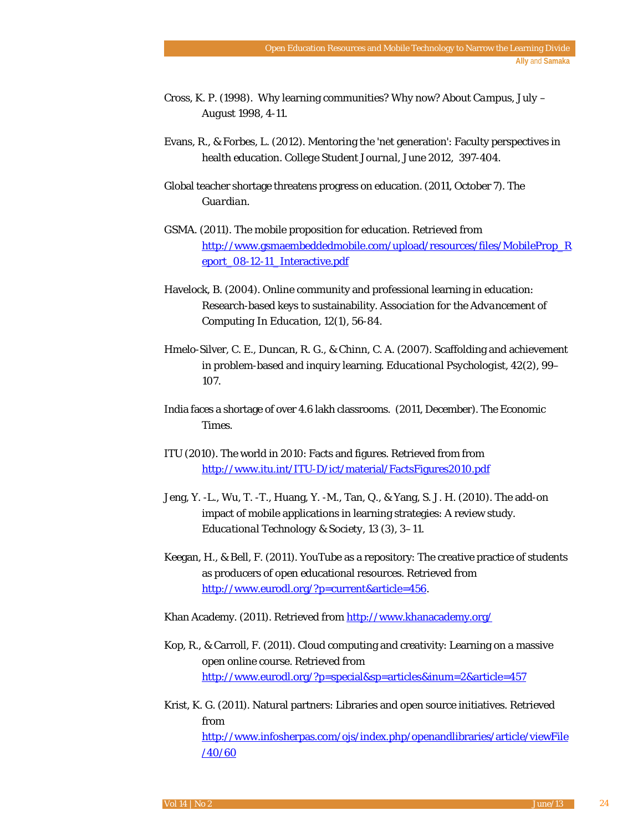- Cross, K. P. (1998). Why learning communities? Why now? *About Campus*, *July – August 1998*, 4-11.
- Evans, R., & Forbes, L. (2012). Mentoring the 'net generation': Faculty perspectives in health education. *College Student Journal, June 2012*, 397-404.
- Global teacher shortage threatens progress on education. (2011, October 7). *The Guardian*.
- GSMA. (2011). The mobile proposition for education. Retrieved from [http://www.gsmaembeddedmobile.com/upload/resources/files/MobileProp\\_R](http://www.gsmaembeddedmobile.com/upload/resources/files/MobileProp_Report_08-12-11_Interactive.pdf) [eport\\_08-12-11\\_Interactive.pdf](http://www.gsmaembeddedmobile.com/upload/resources/files/MobileProp_Report_08-12-11_Interactive.pdf)
- Havelock, B. (2004). Online community and professional learning in education: Research-based keys to sustainability. *Association for the Advancement of Computing In Education*, *12*(1), 56-84.
- Hmelo-Silver, C. E., Duncan, R. G., & Chinn, C. A. (2007). Scaffolding and achievement in problem-based and inquiry learning. *Educational Psychologist*, *42*(2), 99– 107.
- India faces a shortage of over 4.6 lakh classrooms. (2011, December). *The Economic Times*.
- ITU (2010). The world in 2010: Facts and figures. Retrieved from from <http://www.itu.int/ITU-D/ict/material/FactsFigures2010.pdf>
- Jeng, Y. -L., Wu, T. -T., Huang, Y. -M., Tan, Q., & Yang, S. J. H. (2010). The add-on impact of mobile applications in learning strategies: A review study. *Educational Technology & Society, 13* (3), 3–11.
- Keegan, H., & Bell, F. (2011). YouTube as a repository: The creative practice of students as producers of open educational resources. Retrieved from [http://www.eurodl.org/?p=current&article=456.](http://www.eurodl.org/?p=current&article=456)

Khan Academy. (2011). Retrieved from<http://www.khanacademy.org/>

- Kop, R., & Carroll, F. (2011). Cloud computing and creativity: Learning on a massive open online course*.* Retrieved from <http://www.eurodl.org/?p=special&sp=articles&inum=2&article=457>
- Krist, K. G. (2011). Natural partners: Libraries and open source initiatives. Retrieved from [http://www.infosherpas.com/ojs/index.php/openandlibraries/article/viewFile](http://www.infosherpas.com/ojs/index.php/openandlibraries/article/viewFile/40/60) [/40/60](http://www.infosherpas.com/ojs/index.php/openandlibraries/article/viewFile/40/60)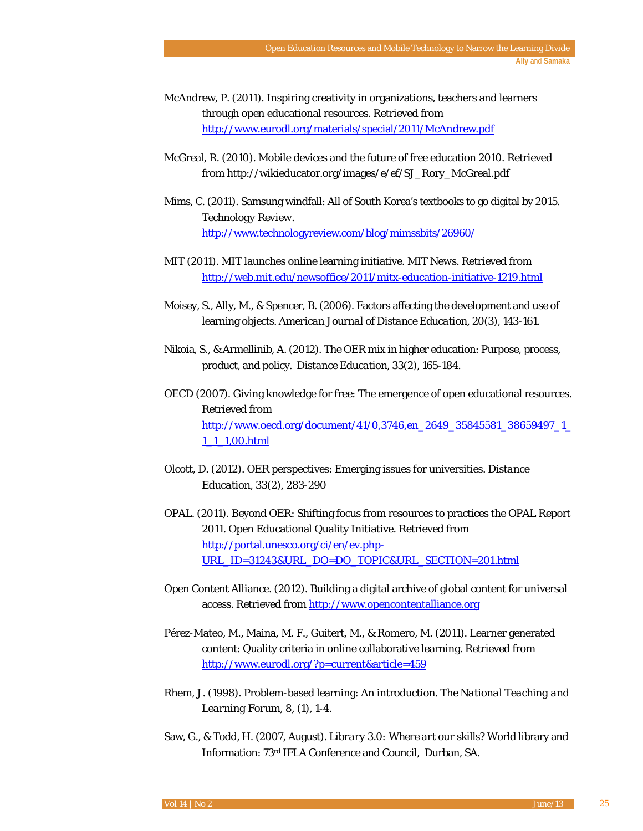- McAndrew, P. (2011). Inspiring creativity in organizations, teachers and learners through open educational resources. Retrieved from <http://www.eurodl.org/materials/special/2011/McAndrew.pdf>
- McGreal, R. (2010). Mobile devices and the future of free education 2010. Retrieved from [http://wikieducator.org/images/e/ef/SJ\\_Rory\\_McGreal.pdf](http://wikieducator.org/images/e/ef/SJ_Rory_McGreal.pdf)
- Mims, C. (2011). Samsung windfall: All of South Korea's textbooks to go digital by 2015. *Technology Review*. <http://www.technologyreview.com/blog/mimssbits/26960/>
- MIT (2011). MIT launches online learning initiative. *MIT News*. Retrieved from <http://web.mit.edu/newsoffice/2011/mitx-education-initiative-1219.html>
- Moisey, S., Ally, M., & Spencer, B. (2006). Factors affecting the development and use of learning objects. *American Journal of Distance Education*, *20*(3), 143-161.
- Nikoia, S., & Armellinib, A. (2012). The OER mix in higher education: Purpose, process, product, and policy. *Distance Education*, *33*(2), 165-184.
- OECD (2007). Giving knowledge for free: The emergence of open educational resources. Retrieved from [http://www.oecd.org/document/41/0,3746,en\\_2649\\_35845581\\_38659497\\_1\\_](http://www.oecd.org/document/41/0,3746,en_2649_35845581_38659497_1_1_1_1,00.html) [1\\_1\\_1,00.html](http://www.oecd.org/document/41/0,3746,en_2649_35845581_38659497_1_1_1_1,00.html)
- Olcott, D. (2012). OER perspectives: Emerging issues for universities. *Distance Education, 33*(2), 283-290
- OPAL. (2011). Beyond OER: Shifting focus from resources to practices the OPAL Report 2011. Open Educational Quality Initiative. Retrieved from [http://portal.unesco.org/ci/en/ev.php-](http://portal.unesco.org/ci/en/ev.php-URL_ID=31243&URL_DO=DO_TOPIC&URL_SECTION=201.html)[URL\\_ID=31243&URL\\_DO=DO\\_TOPIC&URL\\_SECTION=201.html](http://portal.unesco.org/ci/en/ev.php-URL_ID=31243&URL_DO=DO_TOPIC&URL_SECTION=201.html)
- Open Content Alliance. (2012). Building a digital archive of global content for universal access. Retrieved from [http://www.opencontentalliance.org](http://www.opencontentalliance.org/)
- Pérez-Mateo, M., Maina, M. F., Guitert, M., & Romero, M. (2011). Learner generated content: Quality criteria in online collaborative learning. Retrieved from <http://www.eurodl.org/?p=current&article=459>
- Rhem, J. (1998). Problem-based learning: An introduction. *The National Teaching and Learning Forum*, *8*, (1), 1-4.
- Saw, G., & Todd, H. (2007, August). *Library 3.0: Where art our skills*? World library and Information: 73rd IFLA Conference and Council, Durban, SA.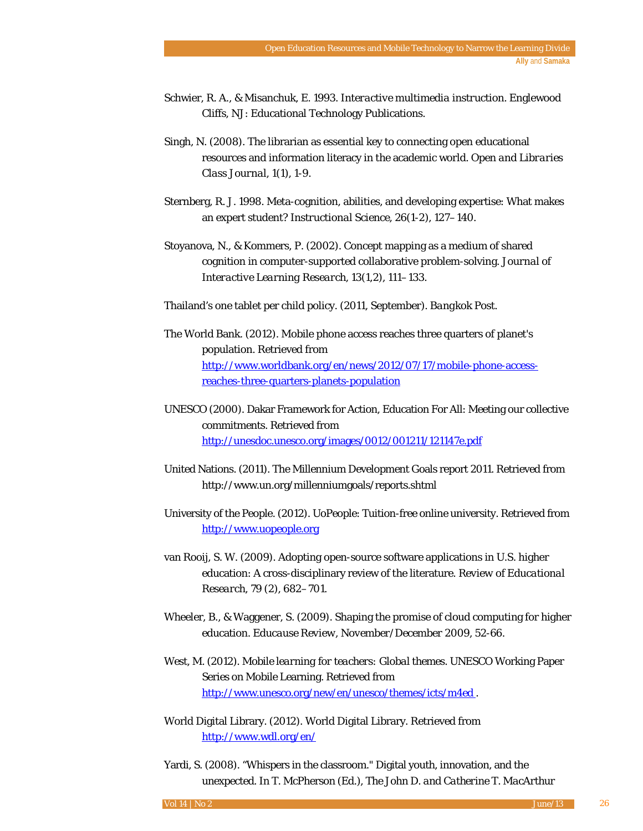- Schwier, R. A., & Misanchuk, E. 1993. *Interactive multimedia instruction*. Englewood Cliffs, NJ: Educational Technology Publications.
- Singh, N. (2008). The librarian as essential key to connecting open educational resources and information literacy in the academic world. *Open and Libraries Class Journal*, *1*(1), 1-9.
- Sternberg, R. J. 1998. Meta-cognition, abilities, and developing expertise: What makes an expert student? *Instructional Science,* 26(1-2), 127–140.
- Stoyanova, N., & Kommers, P. (2002). Concept mapping as a medium of shared cognition in computer-supported collaborative problem-solving. *Journal of Interactive Learning Research, 13*(1,2), 111–133.

Thailand's one tablet per child policy. (2011, September). *Bangkok Post*.

- The World Bank. (2012). Mobile phone access reaches three quarters of planet's population. Retrieved from [http://www.worldbank.org/en/news/2012/07/17/mobile-phone-access](http://www.worldbank.org/en/news/2012/07/17/mobile-phone-access-reaches-three-quarters-planets-population)[reaches-three-quarters-planets-population](http://www.worldbank.org/en/news/2012/07/17/mobile-phone-access-reaches-three-quarters-planets-population)
- UNESCO (2000). Dakar Framework for Action, Education For All: Meeting our collective commitments. Retrieved from <http://unesdoc.unesco.org/images/0012/001211/121147e.pdf>
- United Nations. (2011). The Millennium Development Goals report 2011. Retrieved from <http://www.un.org/millenniumgoals/reports.shtml>
- University of the People. (2012*).* UoPeople: Tuition-free online university. Retrieved from [http://www.uopeople.org](http://www.uopeople.org/)
- van Rooij, S. W. (2009). Adopting open-source software applications in U.S. higher education: A cross-disciplinary review of the literature. *Review of Educational Research*, *79* (2), 682–701.
- Wheeler, B., & Waggener, S. (2009). Shaping the promise of cloud computing for higher education. *Educause Review, November/December 2009*, 52-66.
- West, M. (2012). *Mobile learning for teachers: Global themes*. UNESCO Working Paper Series on Mobile Learning. Retrieved from [http://www.unesco.org/new/en/unesco/themes/icts/m4ed .](http://www.unesco.org/new/en/unesco/themes/icts/m4ed)
- World Digital Library. (2012). World Digital Library. Retrieved from <http://www.wdl.org/en/>
- Yardi, S. (2008). "Whispers in the classroom." Digital youth, innovation, and the unexpected. In T. McPherson (Ed.), *The John D. and Catherine T. MacArthur*